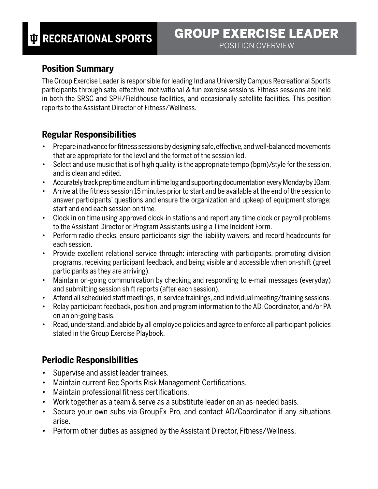## **Position Summary**

The Group Exercise Leader is responsible for leading Indiana University Campus Recreational Sports participants through safe, effective, motivational & fun exercise sessions. Fitness sessions are held in both the SRSC and SPH/Fieldhouse facilities, and occasionally satellite facilities. This position reports to the Assistant Director of Fitness/Wellness.

## **Regular Responsibilities**

- Prepare in advance for fitness sessions by designing safe, effective, and well-balanced movements that are appropriate for the level and the format of the session led.
- Select and use music that is of high quality, is the appropriate tempo (bpm)/style for the session, and is clean and edited.
- Accurately track prep time and turn in time log and supporting documentation every Monday by 10am.
- Arrive at the fitness session 15 minutes prior to start and be available at the end of the session to answer participants' questions and ensure the organization and upkeep of equipment storage; start and end each session on time.
- Clock in on time using approved clock-in stations and report any time clock or payroll problems to the Assistant Director or Program Assistants using a Time Incident Form.
- Perform radio checks, ensure participants sign the liability waivers, and record headcounts for each session.
- Provide excellent relational service through: interacting with participants, promoting division programs, receiving participant feedback, and being visible and accessible when on-shift (greet participants as they are arriving).
- Maintain on-going communication by checking and responding to e-mail messages (everyday) and submitting session shift reports (after each session).
- Attend all scheduled staff meetings, in-service trainings, and individual meeting/training sessions.
- Relay participant feedback, position, and program information to the AD, Coordinator, and/or PA on an on-going basis.
- Read, understand, and abide by all employee policies and agree to enforce all participant policies stated in the Group Exercise Playbook.

## **Periodic Responsibilities**

- Supervise and assist leader trainees.
- Maintain current Rec Sports Risk Management Certifications.
- Maintain professional fitness certifications.
- Work together as a team & serve as a substitute leader on an as-needed basis.
- Secure your own subs via GroupEx Pro, and contact AD/Coordinator if any situations arise.
- Perform other duties as assigned by the Assistant Director, Fitness/Wellness.